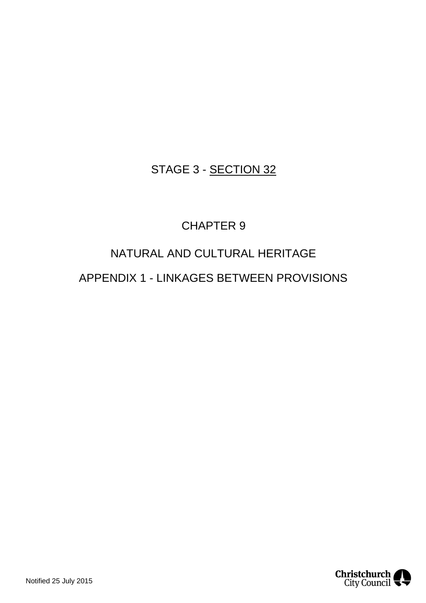## STAGE 3 - SECTION 32

## CHAPTER 9

# NATURAL AND CULTURAL HERITAGE

## APPENDIX 1 - LINKAGES BETWEEN PROVISIONS

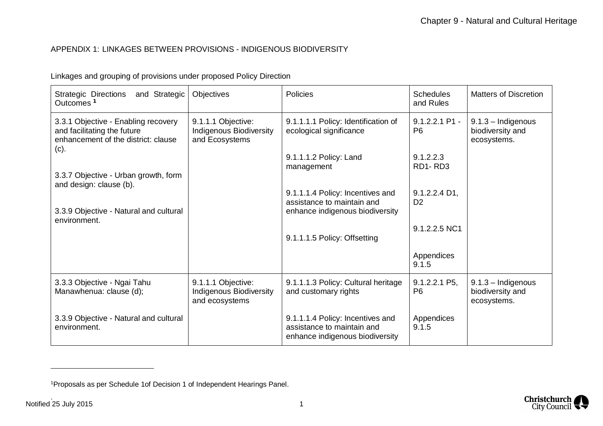### APPENDIX 1: LINKAGES BETWEEN PROVISIONS - INDIGENOUS BIODIVERSITY

| <b>Strategic Directions</b><br>and Strategic<br>Outcomes <sup>1</sup>                                             | <b>Objectives</b>                                                      | <b>Policies</b>                                                                                   | <b>Schedules</b><br>and Rules             | <b>Matters of Discretion</b>                            |
|-------------------------------------------------------------------------------------------------------------------|------------------------------------------------------------------------|---------------------------------------------------------------------------------------------------|-------------------------------------------|---------------------------------------------------------|
| 3.3.1 Objective - Enabling recovery<br>and facilitating the future<br>enhancement of the district: clause<br>(c). | 9.1.1.1 Objective:<br><b>Indigenous Biodiversity</b><br>and Ecosystems | 9.1.1.1.1 Policy: Identification of<br>ecological significance                                    | $9.1.2.2.1$ P1 -<br>P <sub>6</sub>        | $9.1.3 - Indigenous$<br>biodiversity and<br>ecosystems. |
|                                                                                                                   |                                                                        | 9.1.1.1.2 Policy: Land<br>management                                                              | 9.1.2.2.3<br>RD1-RD3                      |                                                         |
| 3.3.7 Objective - Urban growth, form<br>and design: clause (b).                                                   |                                                                        |                                                                                                   |                                           |                                                         |
|                                                                                                                   |                                                                        | 9.1.1.1.4 Policy: Incentives and<br>assistance to maintain and                                    | $9.1.2.2.4\text{ D1}$ ,<br>D <sub>2</sub> |                                                         |
| 3.3.9 Objective - Natural and cultural<br>environment.                                                            |                                                                        | enhance indigenous biodiversity                                                                   |                                           |                                                         |
|                                                                                                                   |                                                                        | 9.1.1.1.5 Policy: Offsetting                                                                      | 9.1.2.2.5 NC1                             |                                                         |
|                                                                                                                   |                                                                        |                                                                                                   | Appendices<br>9.1.5                       |                                                         |
| 3.3.3 Objective - Ngai Tahu<br>Manawhenua: clause (d);                                                            | 9.1.1.1 Objective:<br><b>Indigenous Biodiversity</b><br>and ecosystems | 9.1.1.1.3 Policy: Cultural heritage<br>and customary rights                                       | 9.1.2.2.1 P5,<br>P <sub>6</sub>           | $9.1.3 - Indigenous$<br>biodiversity and<br>ecosystems. |
| 3.3.9 Objective - Natural and cultural<br>environment.                                                            |                                                                        | 9.1.1.1.4 Policy: Incentives and<br>assistance to maintain and<br>enhance indigenous biodiversity | Appendices<br>9.1.5                       |                                                         |

Linkages and grouping of provisions under proposed Policy Direction



<span id="page-1-0"></span><sup>1</sup>Proposals as per Schedule 1of Decision 1 of Independent Hearings Panel.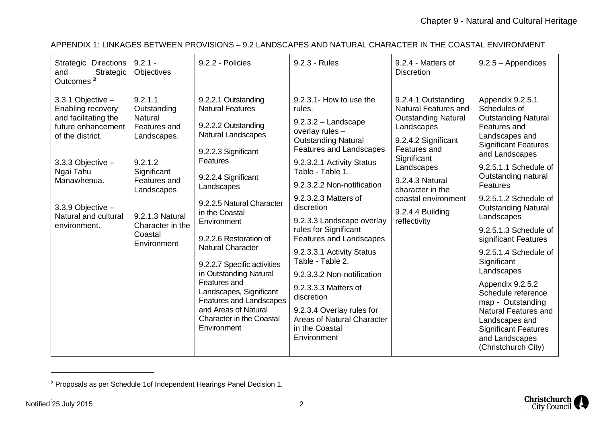| $9.2.1 -$<br><b>Strategic Directions</b><br>9.2.2 - Policies<br>9.2.3 - Rules<br>9.2.4 - Matters of<br>$9.2.5 - Appendices$<br>Strategic<br>Objectives<br><b>Discretion</b><br>and<br>Outcomes <sup>2</sup>                                                                                                                                                                                                                                                                                                                                                                                                                                                                                                                                                                                                                                                                                                                                                                                                                                                                                                                                                                                                                                                                                                                                                                                                                                                                                                                                                                                                                                                                                                                                                                                                                                                                                                                                                                                                                                                                                                                                                                                                                                                                                                                                                                              |  |
|------------------------------------------------------------------------------------------------------------------------------------------------------------------------------------------------------------------------------------------------------------------------------------------------------------------------------------------------------------------------------------------------------------------------------------------------------------------------------------------------------------------------------------------------------------------------------------------------------------------------------------------------------------------------------------------------------------------------------------------------------------------------------------------------------------------------------------------------------------------------------------------------------------------------------------------------------------------------------------------------------------------------------------------------------------------------------------------------------------------------------------------------------------------------------------------------------------------------------------------------------------------------------------------------------------------------------------------------------------------------------------------------------------------------------------------------------------------------------------------------------------------------------------------------------------------------------------------------------------------------------------------------------------------------------------------------------------------------------------------------------------------------------------------------------------------------------------------------------------------------------------------------------------------------------------------------------------------------------------------------------------------------------------------------------------------------------------------------------------------------------------------------------------------------------------------------------------------------------------------------------------------------------------------------------------------------------------------------------------------------------------------|--|
| 9.2.1.1<br>9.2.3.1- How to use the<br>3.3.1 Objective -<br>9.2.2.1 Outstanding<br>9.2.4.1 Outstanding<br>Appendix 9.2.5.1<br>Schedules of<br>Enabling recovery<br>Outstanding<br><b>Natural Features</b><br><b>Natural Features and</b><br>rules.<br>and facilitating the<br>Natural<br><b>Outstanding Natural</b><br><b>Outstanding Natural</b><br>$9.2.3.2 -$ Landscape<br>9.2.2.2 Outstanding<br>future enhancement<br>Features and<br>Features and<br>Landscapes<br>overlay rules -<br>Natural Landscapes<br>of the district.<br>Landscapes.<br>Landscapes and<br><b>Outstanding Natural</b><br>9.2.4.2 Significant<br><b>Significant Features</b><br><b>Features and Landscapes</b><br>Features and<br>9.2.2.3 Significant<br>and Landscapes<br>Significant<br><b>Features</b><br>9.2.1.2<br>9.2.3.2.1 Activity Status<br>3.3.3 Objective -<br>9.2.5.1.1 Schedule of<br>Landscapes<br>Table - Table 1.<br>Ngai Tahu<br>Significant<br>Outstanding natural<br>9.2.2.4 Significant<br>9.2.4.3 Natural<br>Manawhenua.<br>Features and<br>9.2.3.2.2 Non-notification<br><b>Features</b><br>Landscapes<br>character in the<br>Landscapes<br>9.2.3.2.3 Matters of<br>9.2.5.1.2 Schedule of<br>coastal environment<br>9.2.2.5 Natural Character<br>3.3.9 Objective -<br>discretion<br><b>Outstanding Natural</b><br>9.2.4.4 Building<br>in the Coastal<br>Natural and cultural<br>9.2.1.3 Natural<br>Landscapes<br>9.2.3.3 Landscape overlay<br>reflectivity<br>Environment<br>Character in the<br>environment.<br>rules for Significant<br>9.2.5.1.3 Schedule of<br>Coastal<br>9.2.2.6 Restoration of<br><b>Features and Landscapes</b><br>significant Features<br>Environment<br><b>Natural Character</b><br>9.2.3.3.1 Activity Status<br>9.2.5.1.4 Schedule of<br>Table - Table 2.<br>Significant<br>9.2.2.7 Specific activities<br>Landscapes<br>in Outstanding Natural<br>9.2.3.3.2 Non-notification<br>Features and<br>Appendix 9.2.5.2<br>9.2.3.3.3 Matters of<br>Landscapes, Significant<br>Schedule reference<br>discretion<br><b>Features and Landscapes</b><br>map - Outstanding<br>and Areas of Natural<br>9.2.3.4 Overlay rules for<br><b>Natural Features and</b><br><b>Character in the Coastal</b><br>Areas of Natural Character<br>Landscapes and<br>Environment<br>in the Coastal<br><b>Significant Features</b><br>Environment<br>and Landscapes<br>(Christchurch City) |  |

### APPENDIX 1: LINKAGES BETWEEN PROVISIONS – 9.2 LANDSCAPES AND NATURAL CHARACTER IN THE COASTAL ENVIRONMENT

<span id="page-2-0"></span><sup>&</sup>lt;sup>2</sup> Proposals as per Schedule 1of Independent Hearings Panel Decision 1.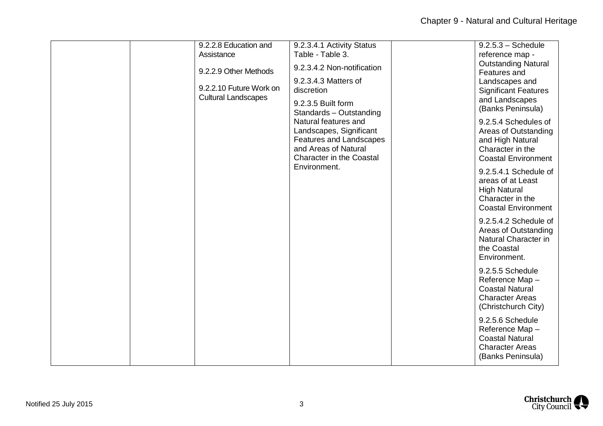| 9.2.2.8 Education and<br>Assistance<br>9.2.2.9 Other Methods | 9.2.3.4.1 Activity Status<br>Table - Table 3.<br>9.2.3.4.2 Non-notification                                                                                                                                                  |  | $9.2.5.3 - Schedule$<br>reference map -<br><b>Outstanding Natural</b><br>Features and                               |
|--------------------------------------------------------------|------------------------------------------------------------------------------------------------------------------------------------------------------------------------------------------------------------------------------|--|---------------------------------------------------------------------------------------------------------------------|
| 9.2.2.10 Future Work on<br><b>Cultural Landscapes</b>        | 9.2.3.4.3 Matters of<br>discretion<br>9.2.3.5 Built form<br>Standards - Outstanding<br>Natural features and<br>Landscapes, Significant<br>Features and Landscapes<br>and Areas of Natural<br><b>Character in the Coastal</b> |  | Landscapes and<br><b>Significant Features</b><br>and Landscapes<br>(Banks Peninsula)                                |
|                                                              |                                                                                                                                                                                                                              |  | 9.2.5.4 Schedules of<br>Areas of Outstanding<br>and High Natural<br>Character in the<br><b>Coastal Environment</b>  |
|                                                              | Environment.                                                                                                                                                                                                                 |  | 9.2.5.4.1 Schedule of<br>areas of at Least<br><b>High Natural</b><br>Character in the<br><b>Coastal Environment</b> |
|                                                              |                                                                                                                                                                                                                              |  | 9.2.5.4.2 Schedule of<br>Areas of Outstanding<br>Natural Character in<br>the Coastal<br>Environment.                |
|                                                              |                                                                                                                                                                                                                              |  | 9.2.5.5 Schedule<br>Reference Map-<br><b>Coastal Natural</b><br><b>Character Areas</b><br>(Christchurch City)       |
|                                                              |                                                                                                                                                                                                                              |  | 9.2.5.6 Schedule<br>Reference Map-<br><b>Coastal Natural</b><br><b>Character Areas</b><br>(Banks Peninsula)         |

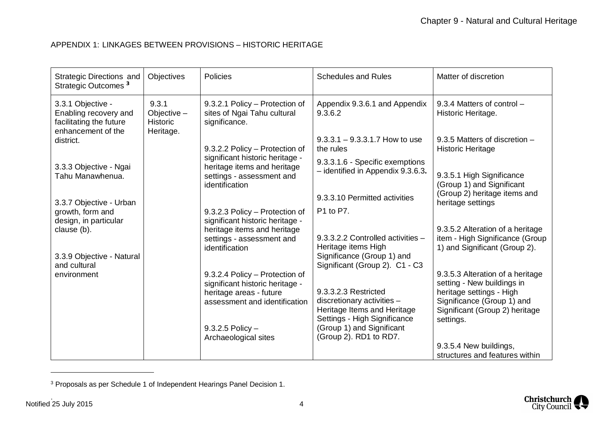#### APPENDIX 1: LINKAGES BETWEEN PROVISIONS – HISTORIC HERITAGE

| <b>Strategic Directions and</b><br>Strategic Outcomes <sup>3</sup>                          | Objectives                                          | Policies                                                                                                                                                                  | <b>Schedules and Rules</b>                                                                                                                                               | Matter of discretion                                                                                                                                                    |
|---------------------------------------------------------------------------------------------|-----------------------------------------------------|---------------------------------------------------------------------------------------------------------------------------------------------------------------------------|--------------------------------------------------------------------------------------------------------------------------------------------------------------------------|-------------------------------------------------------------------------------------------------------------------------------------------------------------------------|
| 3.3.1 Objective -<br>Enabling recovery and<br>facilitating the future<br>enhancement of the | 9.3.1<br>Objective-<br><b>Historic</b><br>Heritage. | 9.3.2.1 Policy - Protection of<br>sites of Ngai Tahu cultural<br>significance.                                                                                            | Appendix 9.3.6.1 and Appendix<br>9.3.6.2                                                                                                                                 | 9.3.4 Matters of control -<br>Historic Heritage.                                                                                                                        |
| district.                                                                                   |                                                     | 9.3.2.2 Policy - Protection of                                                                                                                                            | $9.3.3.1 - 9.3.3.1.7$ How to use<br>the rules                                                                                                                            | 9.3.5 Matters of discretion -<br><b>Historic Heritage</b>                                                                                                               |
| 3.3.3 Objective - Ngai<br>Tahu Manawhenua.                                                  |                                                     | significant historic heritage -<br>heritage items and heritage<br>settings - assessment and<br>identification                                                             | 9.3.3.1.6 - Specific exemptions<br>- identified in Appendix 9.3.6.3.                                                                                                     | 9.3.5.1 High Significance<br>(Group 1) and Significant                                                                                                                  |
| 3.3.7 Objective - Urban                                                                     |                                                     |                                                                                                                                                                           | 9.3.3.10 Permitted activities                                                                                                                                            | (Group 2) heritage items and<br>heritage settings                                                                                                                       |
| growth, form and<br>design, in particular                                                   |                                                     | 9.3.2.3 Policy - Protection of<br>significant historic heritage -                                                                                                         | P1 to P7.                                                                                                                                                                |                                                                                                                                                                         |
| clause (b).                                                                                 |                                                     | heritage items and heritage<br>settings - assessment and<br>identification                                                                                                | 9.3.3.2.2 Controlled activities -<br>Heritage items High                                                                                                                 | 9.3.5.2 Alteration of a heritage<br>item - High Significance (Group<br>1) and Significant (Group 2).                                                                    |
| 3.3.9 Objective - Natural<br>and cultural                                                   |                                                     |                                                                                                                                                                           | Significance (Group 1) and<br>Significant (Group 2). C1 - C3                                                                                                             |                                                                                                                                                                         |
| environment                                                                                 |                                                     | 9.3.2.4 Policy - Protection of<br>significant historic heritage -<br>heritage areas - future<br>assessment and identification<br>9.3.2.5 Policy -<br>Archaeological sites | 9.3.3.2.3 Restricted<br>discretionary activities -<br>Heritage Items and Heritage<br>Settings - High Significance<br>(Group 1) and Significant<br>(Group 2). RD1 to RD7. | 9.3.5.3 Alteration of a heritage<br>setting - New buildings in<br>heritage settings - High<br>Significance (Group 1) and<br>Significant (Group 2) heritage<br>settings. |
|                                                                                             |                                                     |                                                                                                                                                                           |                                                                                                                                                                          | 9.3.5.4 New buildings,<br>structures and features within                                                                                                                |

<span id="page-4-0"></span><sup>&</sup>lt;sup>3</sup> Proposals as per Schedule 1 of Independent Hearings Panel Decision 1.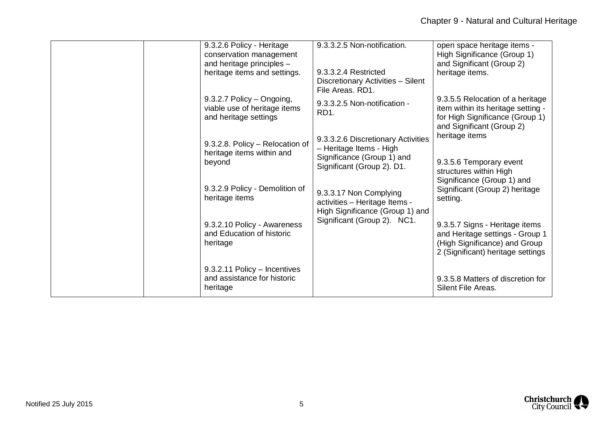| 9.3.2.6 Policy - Heritage<br>conservation management<br>and heritage principles -<br>heritage items and settings. | 9.3.3.2.5 Non-notification.<br>9.3.3.2.4 Restricted<br>Discretionary Activities - Silent<br>File Areas, RD1.              | open space heritage items -<br>High Significance (Group 1)<br>and Significant (Group 2)<br>heritage items.                              |
|-------------------------------------------------------------------------------------------------------------------|---------------------------------------------------------------------------------------------------------------------------|-----------------------------------------------------------------------------------------------------------------------------------------|
| 9.3.2.7 Policy - Ongoing,<br>viable use of heritage items<br>and heritage settings                                | 9.3.3.2.5 Non-notification -<br>RD <sub>1</sub> .                                                                         | 9.3.5.5 Relocation of a heritage<br>item within its heritage setting -<br>for High Significance (Group 1)<br>and Significant (Group 2)  |
| 9.3.2.8. Policy - Relocation of<br>heritage items within and<br>beyond                                            | 9.3.3.2.6 Discretionary Activities<br>- Heritage Items - High<br>Significance (Group 1) and<br>Significant (Group 2). D1. | heritage items<br>9.3.5.6 Temporary event<br>structures within High<br>Significance (Group 1) and                                       |
| 9.3.2.9 Policy - Demolition of<br>heritage items                                                                  | 9.3.3.17 Non Complying<br>activities - Heritage Items -<br>High Significance (Group 1) and                                | Significant (Group 2) heritage<br>setting.                                                                                              |
| 9.3.2.10 Policy - Awareness<br>and Education of historic<br>heritage                                              | Significant (Group 2). NC1.                                                                                               | 9.3.5.7 Signs - Heritage items<br>and Heritage settings - Group 1<br>(High Significance) and Group<br>2 (Significant) heritage settings |
| 9.3.2.11 Policy - Incentives<br>and assistance for historic<br>heritage                                           |                                                                                                                           | 9.3.5.8 Matters of discretion for<br>Silent File Areas.                                                                                 |